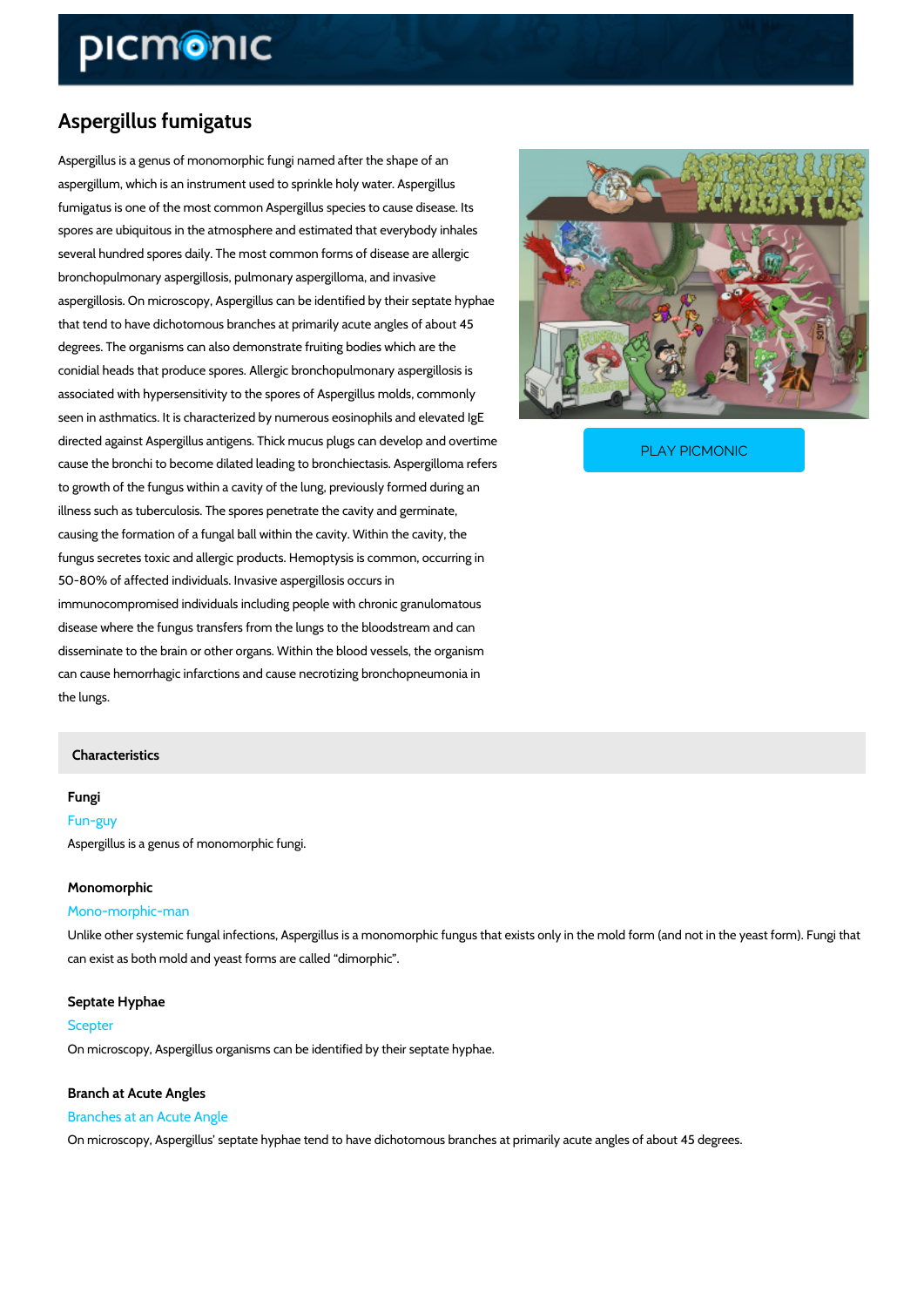# Aspergillus fumigatus

Aspergillus is a genus of monomorphic fungi named after the shape of an aspergillum, which is an instrument used to sprinkle holy water. Aspergillus fumigatus is one of the most common Aspergillus species to cause disease. Its spores are ubiquitous in the atmosphere and estimated that everybody inhales several hundred spores daily. The most common forms of disease are allergic bronchopulmonary aspergillosis, pulmonary aspergilloma, and invasive aspergillosis. On microscopy, Aspergillus can be identified by their septate hyphae that tend to have dichotomous branches at primarily acute angles of about 45 degrees. The organisms can also demonstrate fruiting bodies which are the conidial heads that produce spores. Allergic bronchopulmonary aspergillosis is associated with hypersensitivity to the spores of Aspergillus molds, commonly seen in asthmatics. It is characterized by numerous eosinophils and elevated IgE directed against Aspergillus antigens. Thick mucus plugs PLAY PICMONIC

cause the bronchi to become dilated leading to bronchiect

to growth of the fungus within a cavity of the lung, previously formed during an illness such as tuberculosis. The spores penetrate the cavity and germinate, causing the formation of a fungal ball within the cavity. Within the cavity, the fungus secretes toxic and allergic products. Hemoptysis is common, occurring in 50-80% of affected individuals. Invasive aspergillosis occurs in immunocompromised individuals including people with chronic granulomatous disease where the fungus transfers from the lungs to the bloodstream and can disseminate to the brain or other organs. Within the blood vessels, the organism can cause hemorrhagic infarctions and cause necrotizing bronchopneumonia in the lungs.

## Characteristics

# Fungi

Fun-guy Aspergillus is a genus of monomorphic fungi.

#### Monomorphic

#### Mono-morphic-man

Unlike other systemic fungal infections, Aspergillus is a monomorphic fungus that exists only can exist as both mold and yeast forms are called dimorphic .

## Septate Hyphae

Scepter

On microscopy, Aspergillus organisms can be identified by their septate hyphae.

## Branches at an Acute Angle

Branch at Acute Angles

On microscopy, Aspergillus septate hyphae tend to have dichotomous branches at primarily a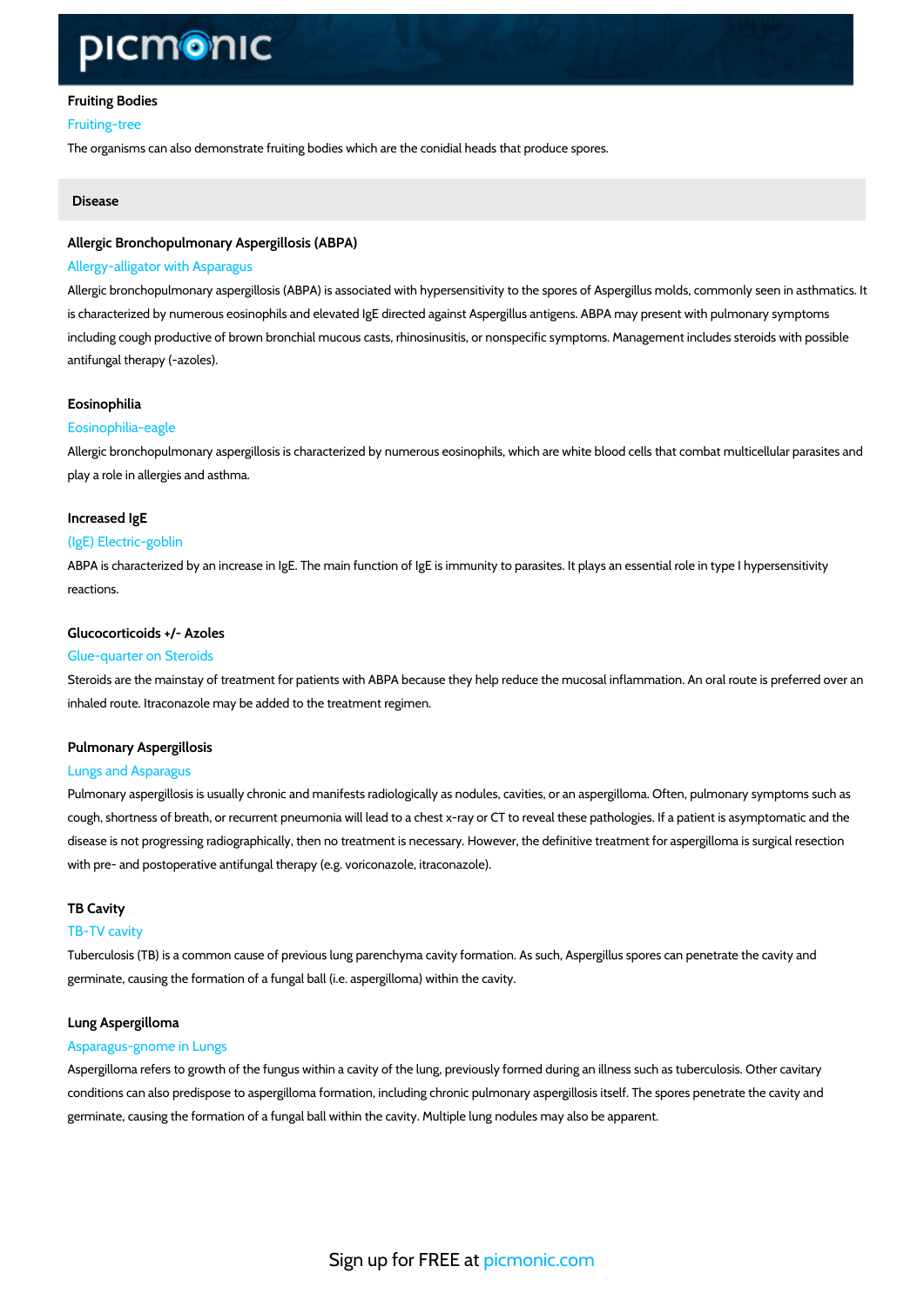## Fruiting Bodies Fruiting-tree

The organisms can also demonstrate fruiting bodies which are the conidial heads that produce

#### Disease

## Allergic Bronchopulmonary Aspergillosis (ABPA) Allergy-alligator with Asparagus

Allergic bronchopulmonary aspergillosis (ABPA) is associated with hypersensitivity to the spo is characterized by numerous eosinophils and elevated IgE directed against Aspergillus antige including cough productive of brown bronchial mucous casts, rhinosinusitis, or nonspecific sy antifungal therapy (-azoles).

#### Eosinophilia

## Eosinophilia-eagle

Allergic bronchopulmonary aspergillosis is characterized by numerous eosinophils, which are play a role in allergies and asthma.

## Increased IgE

#### (IgE) Electric-goblin

ABPA is characterized by an increase in IgE. The main function of IgE is immunity to parasite reactions.

## Glucocorticoids +/- Azoles

#### Glue-quarter on Steroids

Steroids are the mainstay of treatment for patients with ABPA because they help reduce the m inhaled route. Itraconazole may be added to the treatment regimen.

#### Pulmonary Aspergillosis

### Lungs and Asparagus

Pulmonary aspergillosis is usually chronic and manifests radiologically as nodules, cavities, or cough, shortness of breath, or recurrent pneumonia will lead to a chest x-ray or CT to reveal disease is not progressing radiographically, then no treatment is necessary. However, the def with pre- and postoperative antifungal therapy (e.g. voriconazole, itraconazole).

#### TB Cavity

#### TB-TV cavity

Tuberculosis (TB) is a common cause of previous lung parenchyma cavity formation. As such, germinate, causing the formation of a fungal ball (i.e. aspergilloma) within the cavity.

#### Lung Aspergilloma

#### Asparagus-gnome in Lungs

Aspergilloma refers to growth of the fungus within a cavity of the lung, previously formed dur conditions can also predispose to aspergilloma formation, including chronic pulmonary asperg germinate, causing the formation of a fungal ball within the cavity. Multiple lung nodules may